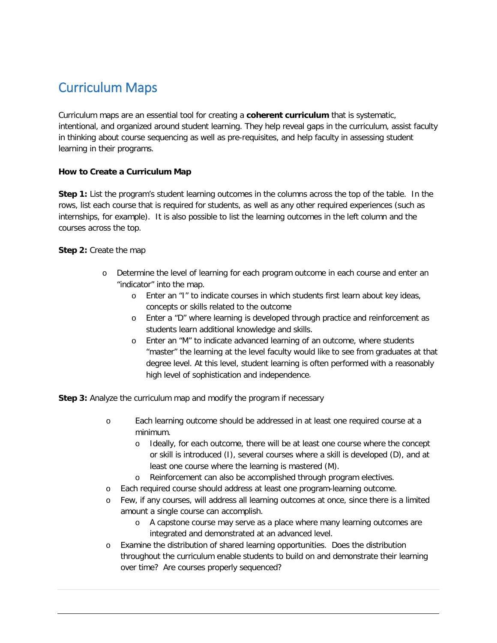## Curriculum Maps

Curriculum maps are an essential tool for creating a **coherent curriculum** that is systematic, intentional, and organized around student learning. They help reveal gaps in the curriculum, assist faculty in thinking about course sequencing as well as pre-requisites, and help faculty in assessing student learning in their programs.

## **How to Create a Curriculum Map**

**Step 1:** List the program's student learning outcomes in the columns across the top of the table. In the rows, list each course that is required for students, as well as any other required experiences (such as internships, for example). It is also possible to list the learning outcomes in the left column and the courses across the top.

**Step 2:** Create the map

- o Determine the level of learning for each program outcome in each course and enter an "indicator" into the map.
	- o Enter an "I" to indicate courses in which students first learn about key ideas, concepts or skills related to the outcome
	- o Enter a "D" where learning is developed through practice and reinforcement as students learn additional knowledge and skills.
	- o Enter an "M" to indicate advanced learning of an outcome, where students "master" the learning at the level faculty would like to see from graduates at that degree level. At this level, student learning is often performed with a reasonably high level of sophistication and independence.

**Step 3:** Analyze the curriculum map and modify the program if necessary

- o Each learning outcome should be addressed in at least one required course at a minimum.
	- o Ideally, for each outcome, there will be at least one course where the concept or skill is introduced (I), several courses where a skill is developed (D), and at least one course where the learning is mastered (M).
	- o Reinforcement can also be accomplished through program electives.
- o Each required course should address at least one program-learning outcome.
- o Few, if any courses, will address all learning outcomes at once, since there is a limited amount a single course can accomplish.
	- o A capstone course may serve as a place where many learning outcomes are integrated and demonstrated at an advanced level.
- o Examine the distribution of shared learning opportunities. Does the distribution throughout the curriculum enable students to build on and demonstrate their learning over time? Are courses properly sequenced?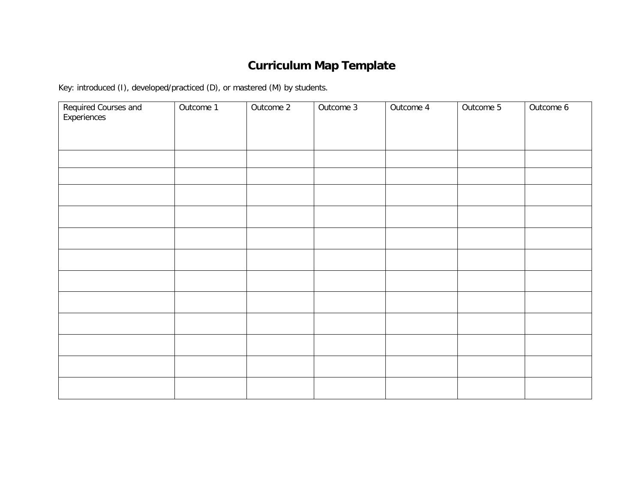## **Curriculum Map Template**

Key: introduced (I), developed/practiced (D), or mastered (M) by students.

| Required Courses and<br>Experiences | Outcome 1 | Outcome 2 | Outcome 3 | Outcome 4 | Outcome 5 | Outcome 6 |
|-------------------------------------|-----------|-----------|-----------|-----------|-----------|-----------|
|                                     |           |           |           |           |           |           |
|                                     |           |           |           |           |           |           |
|                                     |           |           |           |           |           |           |
|                                     |           |           |           |           |           |           |
|                                     |           |           |           |           |           |           |
|                                     |           |           |           |           |           |           |
|                                     |           |           |           |           |           |           |
|                                     |           |           |           |           |           |           |
|                                     |           |           |           |           |           |           |
|                                     |           |           |           |           |           |           |
|                                     |           |           |           |           |           |           |
|                                     |           |           |           |           |           |           |
|                                     |           |           |           |           |           |           |